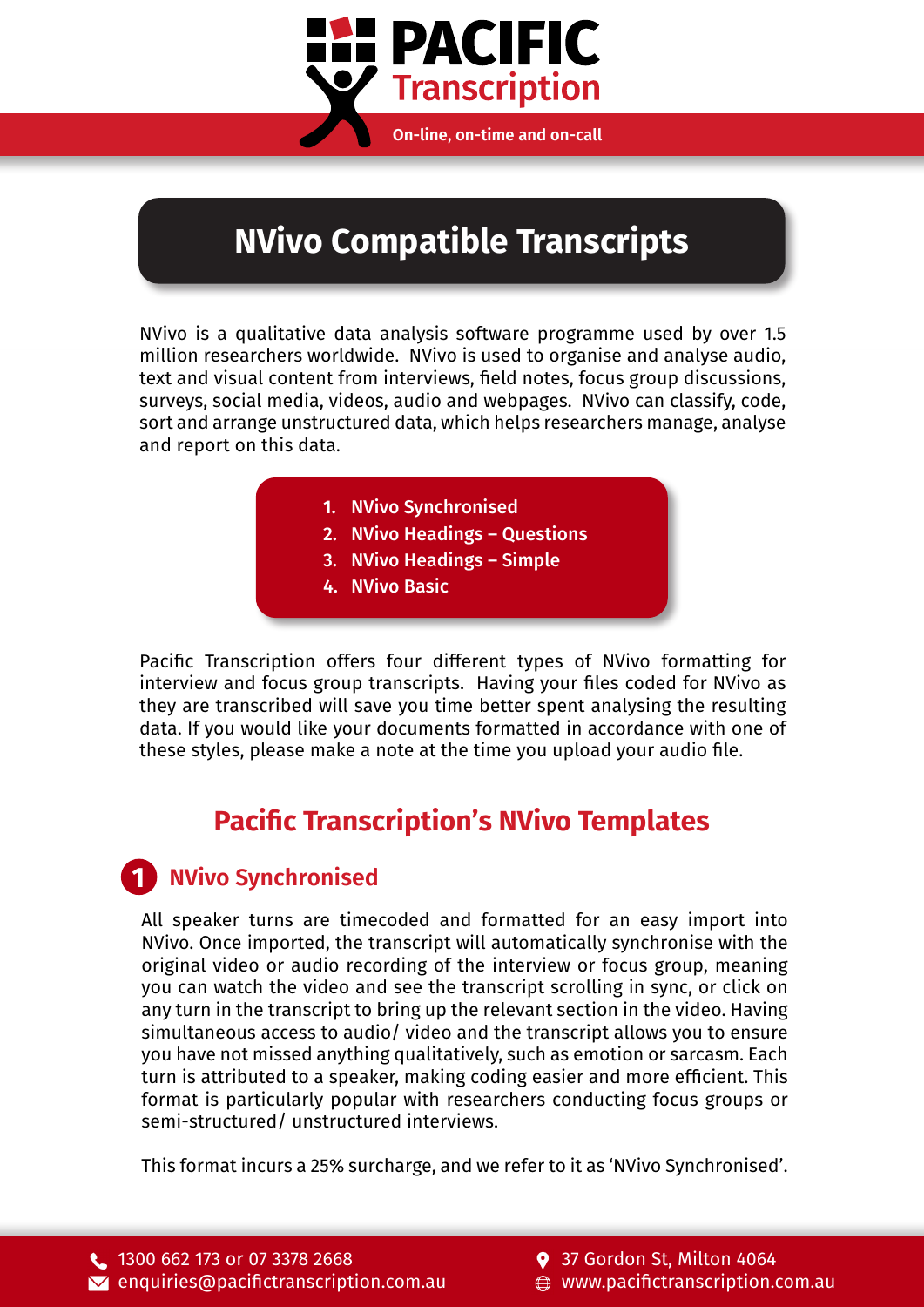

# **NVivo Compatible Transcripts**

NVivo is a qualitative data analysis software programme used by over 1.5 million researchers worldwide. NVivo is used to organise and analyse audio, text and visual content from interviews, field notes, focus group discussions, surveys, social media, videos, audio and webpages. NVivo can classify, code, sort and arrange unstructured data, which helps researchers manage, analyse and report on this data.

- 1. [NVivo Synchronised](#page-0-0)
- 2. [NVivo Headings Questions](#page-1-0)
- 3. [NVivo Headings Simple](#page-1-1)
- 4. [NVivo Basic](#page-2-0)

Pacific Transcription offers four different types of NVivo formatting for interview and focus group transcripts. Having your files coded for NVivo as they are transcribed will save you time better spent analysing the resulting data. If you would like your documents formatted in accordance with one of these styles, please make a note at the time you upload your audio file.

### **Pacific Transcription's NVivo Templates**

#### <span id="page-0-0"></span>**1 NVivo Synchronised**

All speaker turns are timecoded and formatted for an easy import into NVivo. Once imported, the transcript will automatically synchronise with the original video or audio recording of the interview or focus group, meaning you can watch the video and see the transcript scrolling in sync, or click on any turn in the transcript to bring up the relevant section in the video. Having simultaneous access to audio/ video and the transcript allows you to ensure you have not missed anything qualitatively, such as emotion or sarcasm. Each turn is attributed to a speaker, making coding easier and more efficient. This format is particularly popular with researchers conducting focus groups or semi-structured/ unstructured interviews.

This format incurs a 25% surcharge, and we refer to it as 'NVivo Synchronised'.

9 37 Gordon St, Milton 4064 [www.pacifictranscription.com.au](https://www.pacifictranscription.com.au)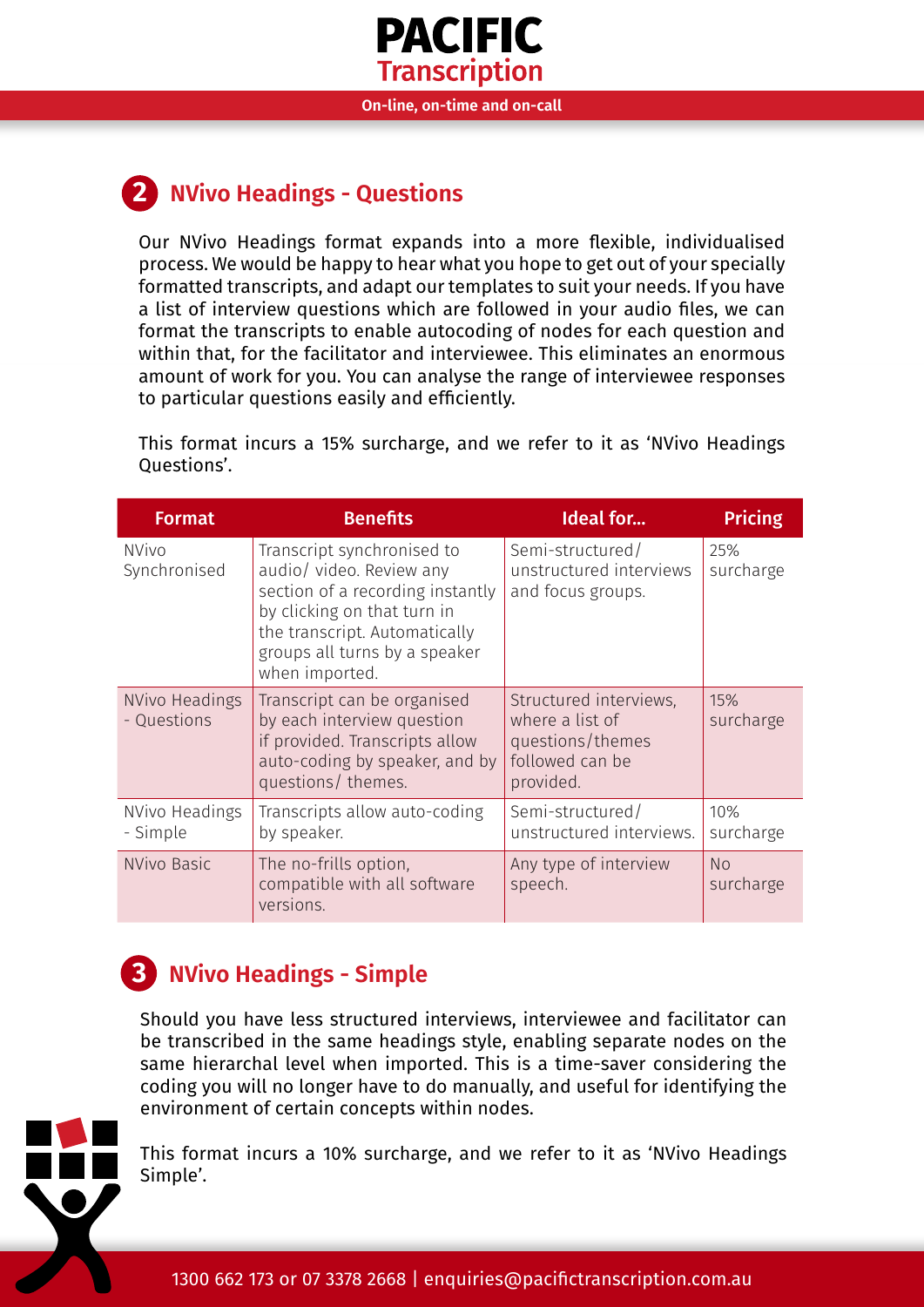

**On-line, on-time and on-call**

## <span id="page-1-0"></span>**2 NVivo Headings - Questions**

Our NVivo Headings format expands into a more flexible, individualised process. We would be happy to hear what you hope to get out of your specially formatted transcripts, and adapt our templates to suit your needs. If you have a list of interview questions which are followed in your audio files, we can format the transcripts to enable autocoding of nodes for each question and within that, for the facilitator and interviewee. This eliminates an enormous amount of work for you. You can analyse the range of interviewee responses to particular questions easily and efficiently.

This format incurs a 15% surcharge, and we refer to it as 'NVivo Headings Questions'.

| <b>Format</b>                 | <b>Benefits</b>                                                                                                                                                                                               | <b>Ideal for</b>                                                                              | <b>Pricing</b>   |
|-------------------------------|---------------------------------------------------------------------------------------------------------------------------------------------------------------------------------------------------------------|-----------------------------------------------------------------------------------------------|------------------|
| <b>NVivo</b><br>Synchronised  | Transcript synchronised to<br>audio/ video. Review any<br>section of a recording instantly<br>by clicking on that turn in<br>the transcript. Automatically<br>groups all turns by a speaker<br>when imported. | Semi-structured/<br>unstructured interviews<br>and focus groups.                              | 25%<br>surcharge |
| NVivo Headings<br>- Questions | Transcript can be organised<br>by each interview question<br>if provided. Transcripts allow<br>auto-coding by speaker, and by<br>questions/themes.                                                            | Structured interviews,<br>where a list of<br>questions/themes<br>followed can be<br>provided. | 15%<br>surcharge |
| NVivo Headings<br>- Simple    | Transcripts allow auto-coding<br>by speaker.                                                                                                                                                                  | Semi-structured/<br>unstructured interviews.                                                  | 10%<br>surcharge |
| NVivo Basic                   | The no-frills option,<br>compatible with all software<br>versions.                                                                                                                                            | Any type of interview<br>speech.                                                              | No<br>surcharge  |

### <span id="page-1-1"></span>**NVivo Headings - Simple 3**

Should you have less structured interviews, interviewee and facilitator can be transcribed in the same headings style, enabling separate nodes on the same hierarchal level when imported. This is a time-saver considering the coding you will no longer have to do manually, and useful for identifying the environment of certain concepts within nodes.



This format incurs a 10% surcharge, and we refer to it as 'NVivo Headings Simple'.